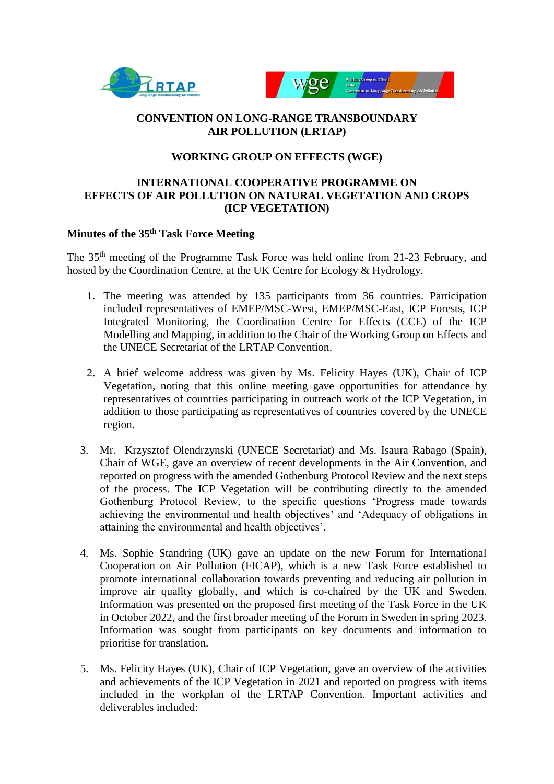



#### **CONVENTION ON LONG-RANGE TRANSBOUNDARY AIR POLLUTION (LRTAP)**

#### **WORKING GROUP ON EFFECTS (WGE)**

#### **INTERNATIONAL COOPERATIVE PROGRAMME ON EFFECTS OF AIR POLLUTION ON NATURAL VEGETATION AND CROPS (ICP VEGETATION)**

#### **Minutes of the 35 th Task Force Meeting**

The 35<sup>th</sup> meeting of the Programme Task Force was held online from 21-23 February, and hosted by the Coordination Centre, at the UK Centre for Ecology & Hydrology.

- 1. The meeting was attended by 135 participants from 36 countries. Participation included representatives of EMEP/MSC-West, EMEP/MSC-East, ICP Forests, ICP Integrated Monitoring, the Coordination Centre for Effects (CCE) of the ICP Modelling and Mapping, in addition to the Chair of the Working Group on Effects and the UNECE Secretariat of the LRTAP Convention.
- 2. A brief welcome address was given by Ms. Felicity Hayes (UK), Chair of ICP Vegetation, noting that this online meeting gave opportunities for attendance by representatives of countries participating in outreach work of the ICP Vegetation, in addition to those participating as representatives of countries covered by the UNECE region.
- 3. Mr. Krzysztof Olendrzynski (UNECE Secretariat) and Ms. Isaura Rabago (Spain), Chair of WGE, gave an overview of recent developments in the Air Convention, and reported on progress with the amended Gothenburg Protocol Review and the next steps of the process. The ICP Vegetation will be contributing directly to the amended Gothenburg Protocol Review, to the specific questions 'Progress made towards achieving the environmental and health objectives' and 'Adequacy of obligations in attaining the environmental and health objectives'.
- 4. Ms. Sophie Standring (UK) gave an update on the new Forum for International Cooperation on Air Pollution (FICAP), which is a new Task Force established to promote international collaboration towards preventing and reducing air pollution in improve air quality globally, and which is co-chaired by the UK and Sweden. Information was presented on the proposed first meeting of the Task Force in the UK in October 2022, and the first broader meeting of the Forum in Sweden in spring 2023. Information was sought from participants on key documents and information to prioritise for translation.
- 5. Ms. Felicity Hayes (UK), Chair of ICP Vegetation, gave an overview of the activities and achievements of the ICP Vegetation in 2021 and reported on progress with items included in the workplan of the LRTAP Convention. Important activities and deliverables included: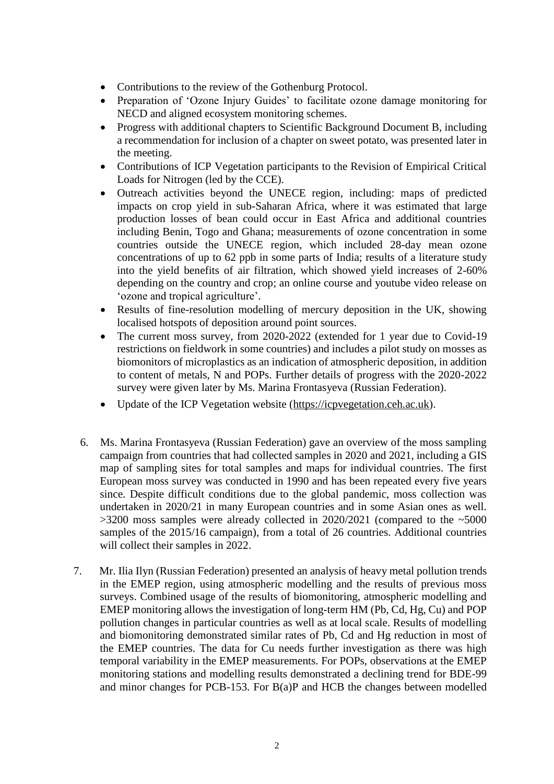- Contributions to the review of the Gothenburg Protocol.
- Preparation of 'Ozone Injury Guides' to facilitate ozone damage monitoring for NECD and aligned ecosystem monitoring schemes.
- Progress with additional chapters to Scientific Background Document B, including a recommendation for inclusion of a chapter on sweet potato, was presented later in the meeting.
- Contributions of ICP Vegetation participants to the Revision of Empirical Critical Loads for Nitrogen (led by the CCE).
- Outreach activities beyond the UNECE region, including: maps of predicted impacts on crop yield in sub-Saharan Africa, where it was estimated that large production losses of bean could occur in East Africa and additional countries including Benin, Togo and Ghana; measurements of ozone concentration in some countries outside the UNECE region, which included 28-day mean ozone concentrations of up to 62 ppb in some parts of India; results of a literature study into the yield benefits of air filtration, which showed yield increases of 2-60% depending on the country and crop; an online course and youtube video release on 'ozone and tropical agriculture'.
- Results of fine-resolution modelling of mercury deposition in the UK, showing localised hotspots of deposition around point sources.
- The current moss survey, from 2020-2022 (extended for 1 year due to Covid-19 restrictions on fieldwork in some countries) and includes a pilot study on mosses as biomonitors of microplastics as an indication of atmospheric deposition, in addition to content of metals, N and POPs. Further details of progress with the 2020-2022 survey were given later by Ms. Marina Frontasyeva (Russian Federation).
- Update of the ICP Vegetation website [\(https://icpvegetation.ceh.ac.uk\)](https://icpvegetation.ceh.ac.uk/).
- 6. Ms. Marina Frontasyeva (Russian Federation) gave an overview of the moss sampling campaign from countries that had collected samples in 2020 and 2021, including a GIS map of sampling sites for total samples and maps for individual countries. The first European moss survey was conducted in 1990 and has been repeated every five years since. Despite difficult conditions due to the global pandemic, moss collection was undertaken in 2020/21 in many European countries and in some Asian ones as well.  $>3200$  moss samples were already collected in 2020/2021 (compared to the  $\sim$ 5000 samples of the 2015/16 campaign), from a total of 26 countries. Additional countries will collect their samples in 2022.
- 7. Mr. Ilia Ilyn (Russian Federation) presented an analysis of heavy metal pollution trends in the EMEP region, using atmospheric modelling and the results of previous moss surveys. Combined usage of the results of biomonitoring, atmospheric modelling and EMEP monitoring allows the investigation of long-term HM (Pb, Cd, Hg, Cu) and POP pollution changes in particular countries as well as at local scale. Results of modelling and biomonitoring demonstrated similar rates of Pb, Cd and Hg reduction in most of the EMEP countries. The data for Cu needs further investigation as there was high temporal variability in the EMEP measurements. For POPs, observations at the EMEP monitoring stations and modelling results demonstrated a declining trend for BDE-99 and minor changes for PCB-153. For B(a)P and HCB the changes between modelled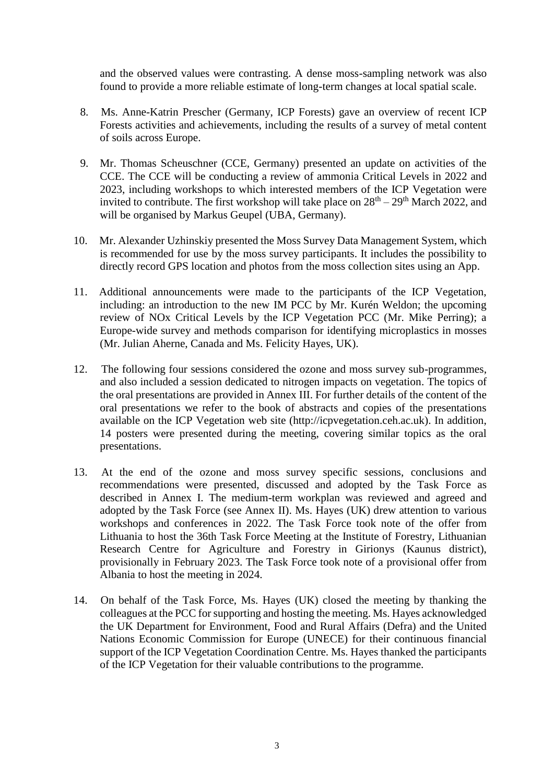and the observed values were contrasting. A dense moss-sampling network was also found to provide a more reliable estimate of long-term changes at local spatial scale.

- 8. Ms. Anne-Katrin Prescher (Germany, ICP Forests) gave an overview of recent ICP Forests activities and achievements, including the results of a survey of metal content of soils across Europe.
- 9. Mr. Thomas Scheuschner (CCE, Germany) presented an update on activities of the CCE. The CCE will be conducting a review of ammonia Critical Levels in 2022 and 2023, including workshops to which interested members of the ICP Vegetation were invited to contribute. The first workshop will take place on  $28<sup>th</sup> - 29<sup>th</sup>$  March 2022, and will be organised by Markus Geupel (UBA, Germany).
- 10. Mr. Alexander Uzhinskiy presented the Moss Survey Data Management System, which is recommended for use by the moss survey participants. It includes the possibility to directly record GPS location and photos from the moss collection sites using an App.
- 11. Additional announcements were made to the participants of the ICP Vegetation, including: an introduction to the new IM PCC by Mr. Kurén Weldon; the upcoming review of NOx Critical Levels by the ICP Vegetation PCC (Mr. Mike Perring); a Europe-wide survey and methods comparison for identifying microplastics in mosses (Mr. Julian Aherne, Canada and Ms. Felicity Hayes, UK).
- 12. The following four sessions considered the ozone and moss survey sub-programmes, and also included a session dedicated to nitrogen impacts on vegetation. The topics of the oral presentations are provided in Annex III. For further details of the content of the oral presentations we refer to the book of abstracts and copies of the presentations available on the ICP Vegetation web site (http://icpvegetation.ceh.ac.uk). In addition, 14 posters were presented during the meeting, covering similar topics as the oral presentations.
- 13. At the end of the ozone and moss survey specific sessions, conclusions and recommendations were presented, discussed and adopted by the Task Force as described in Annex I. The medium-term workplan was reviewed and agreed and adopted by the Task Force (see Annex II). Ms. Hayes (UK) drew attention to various workshops and conferences in 2022. The Task Force took note of the offer from Lithuania to host the 36th Task Force Meeting at the Institute of Forestry, Lithuanian Research Centre for Agriculture and Forestry in Girionys (Kaunus district), provisionally in February 2023. The Task Force took note of a provisional offer from Albania to host the meeting in 2024.
- 14. On behalf of the Task Force, Ms. Hayes (UK) closed the meeting by thanking the colleagues at the PCC for supporting and hosting the meeting. Ms. Hayes acknowledged the UK Department for Environment, Food and Rural Affairs (Defra) and the United Nations Economic Commission for Europe (UNECE) for their continuous financial support of the ICP Vegetation Coordination Centre. Ms. Hayes thanked the participants of the ICP Vegetation for their valuable contributions to the programme.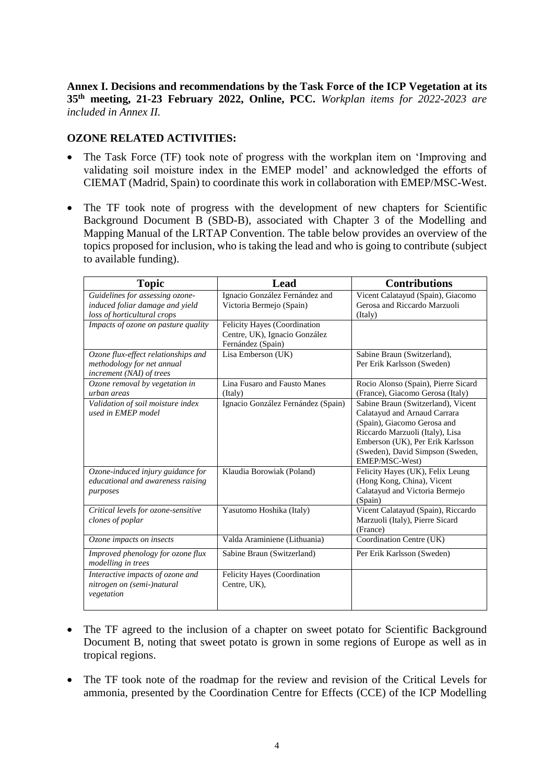**Annex I. Decisions and recommendations by the Task Force of the ICP Vegetation at its 35 th meeting, 21-23 February 2022, Online, PCC.** *Workplan items for 2022-2023 are included in Annex II.* 

#### **OZONE RELATED ACTIVITIES:**

- The Task Force (TF) took note of progress with the workplan item on 'Improving and validating soil moisture index in the EMEP model' and acknowledged the efforts of CIEMAT (Madrid, Spain) to coordinate this work in collaboration with EMEP/MSC-West.
- The TF took note of progress with the development of new chapters for Scientific Background Document B (SBD-B), associated with Chapter 3 of the Modelling and Mapping Manual of the LRTAP Convention. The table below provides an overview of the topics proposed for inclusion, who is taking the lead and who is going to contribute (subject to available funding).

| <b>Topic</b>                                                                                      | Lead                                                                               | <b>Contributions</b>                                                                                                                                                                                                           |
|---------------------------------------------------------------------------------------------------|------------------------------------------------------------------------------------|--------------------------------------------------------------------------------------------------------------------------------------------------------------------------------------------------------------------------------|
| Guidelines for assessing ozone-<br>induced foliar damage and yield<br>loss of horticultural crops | Ignacio González Fernández and<br>Victoria Bermejo (Spain)                         | Vicent Calatayud (Spain), Giacomo<br>Gerosa and Riccardo Marzuoli<br>(Italy)                                                                                                                                                   |
| Impacts of ozone on pasture quality                                                               | Felicity Hayes (Coordination<br>Centre, UK), Ignacio González<br>Fernández (Spain) |                                                                                                                                                                                                                                |
| Ozone flux-effect relationships and<br>methodology for net annual<br>increment (NAI) of trees     | Lisa Emberson (UK)                                                                 | Sabine Braun (Switzerland),<br>Per Erik Karlsson (Sweden)                                                                                                                                                                      |
| Ozone removal by vegetation in<br>urban areas                                                     | Lina Fusaro and Fausto Manes<br>(Italy)                                            | Rocio Alonso (Spain), Pierre Sicard<br>(France), Giacomo Gerosa (Italy)                                                                                                                                                        |
| Validation of soil moisture index<br>used in EMEP model                                           | Ignacio González Fernández (Spain)                                                 | Sabine Braun (Switzerland), Vicent<br>Calatayud and Arnaud Carrara<br>(Spain), Giacomo Gerosa and<br>Riccardo Marzuoli (Italy), Lisa<br>Emberson (UK), Per Erik Karlsson<br>(Sweden), David Simpson (Sweden,<br>EMEP/MSC-West) |
| Ozone-induced injury guidance for<br>educational and awareness raising<br>purposes                | Klaudia Borowiak (Poland)                                                          | Felicity Hayes (UK), Felix Leung<br>(Hong Kong, China), Vicent<br>Calatayud and Victoria Bermejo<br>(Spain)                                                                                                                    |
| Critical levels for ozone-sensitive<br>clones of poplar                                           | Yasutomo Hoshika (Italy)                                                           | Vicent Calatayud (Spain), Riccardo<br>Marzuoli (Italy), Pierre Sicard<br>(France)                                                                                                                                              |
| Ozone impacts on insects                                                                          | Valda Araminiene (Lithuania)                                                       | Coordination Centre (UK)                                                                                                                                                                                                       |
| Improved phenology for ozone flux<br>modelling in trees                                           | Sabine Braun (Switzerland)                                                         | Per Erik Karlsson (Sweden)                                                                                                                                                                                                     |
| Interactive impacts of ozone and<br>nitrogen on (semi-)natural<br>vegetation                      | Felicity Hayes (Coordination<br>Centre, UK),                                       |                                                                                                                                                                                                                                |

- The TF agreed to the inclusion of a chapter on sweet potato for Scientific Background Document B, noting that sweet potato is grown in some regions of Europe as well as in tropical regions.
- The TF took note of the roadmap for the review and revision of the Critical Levels for ammonia, presented by the Coordination Centre for Effects (CCE) of the ICP Modelling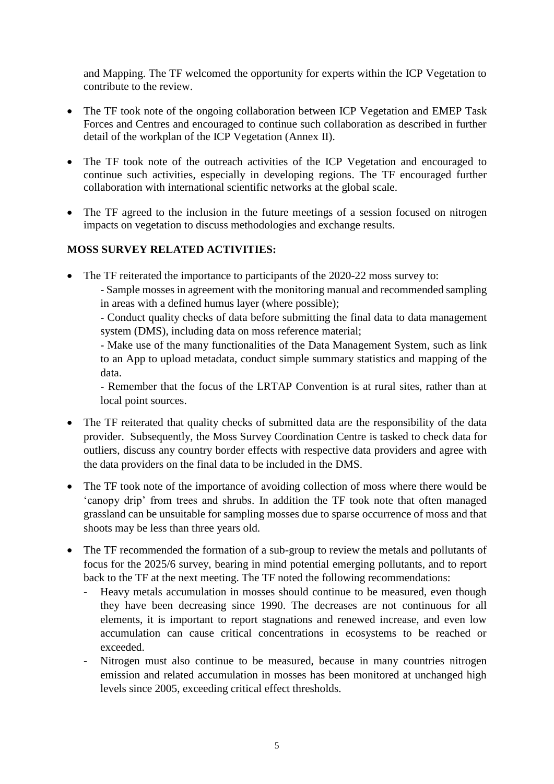and Mapping. The TF welcomed the opportunity for experts within the ICP Vegetation to contribute to the review.

- The TF took note of the ongoing collaboration between ICP Vegetation and EMEP Task Forces and Centres and encouraged to continue such collaboration as described in further detail of the workplan of the ICP Vegetation (Annex II).
- The TF took note of the outreach activities of the ICP Vegetation and encouraged to continue such activities, especially in developing regions. The TF encouraged further collaboration with international scientific networks at the global scale.
- The TF agreed to the inclusion in the future meetings of a session focused on nitrogen impacts on vegetation to discuss methodologies and exchange results.

## **MOSS SURVEY RELATED ACTIVITIES:**

• The TF reiterated the importance to participants of the 2020-22 moss survey to:

- Sample mosses in agreement with the monitoring manual and recommended sampling in areas with a defined humus layer (where possible);

- Conduct quality checks of data before submitting the final data to data management system (DMS), including data on moss reference material;

- Make use of the many functionalities of the Data Management System, such as link to an App to upload metadata, conduct simple summary statistics and mapping of the data.

- Remember that the focus of the LRTAP Convention is at rural sites, rather than at local point sources.

- The TF reiterated that quality checks of submitted data are the responsibility of the data provider. Subsequently, the Moss Survey Coordination Centre is tasked to check data for outliers, discuss any country border effects with respective data providers and agree with the data providers on the final data to be included in the DMS.
- The TF took note of the importance of avoiding collection of moss where there would be 'canopy drip' from trees and shrubs. In addition the TF took note that often managed grassland can be unsuitable for sampling mosses due to sparse occurrence of moss and that shoots may be less than three years old.
- The TF recommended the formation of a sub-group to review the metals and pollutants of focus for the 2025/6 survey, bearing in mind potential emerging pollutants, and to report back to the TF at the next meeting. The TF noted the following recommendations:
	- Heavy metals accumulation in mosses should continue to be measured, even though they have been decreasing since 1990. The decreases are not continuous for all elements, it is important to report stagnations and renewed increase, and even low accumulation can cause critical concentrations in ecosystems to be reached or exceeded.
	- Nitrogen must also continue to be measured, because in many countries nitrogen emission and related accumulation in mosses has been monitored at unchanged high levels since 2005, exceeding critical effect thresholds.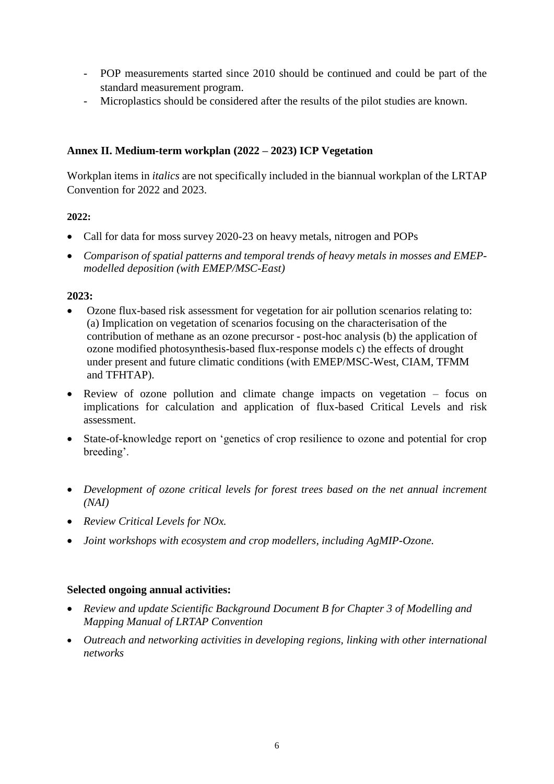- POP measurements started since 2010 should be continued and could be part of the standard measurement program.
- Microplastics should be considered after the results of the pilot studies are known.

## **Annex II. Medium-term workplan (2022 – 2023) ICP Vegetation**

Workplan items in *italics* are not specifically included in the biannual workplan of the LRTAP Convention for 2022 and 2023.

## **2022:**

- Call for data for moss survey 2020-23 on heavy metals, nitrogen and POPs
- *Comparison of spatial patterns and temporal trends of heavy metals in mosses and EMEPmodelled deposition (with EMEP/MSC-East)*

#### **2023:**

- Ozone flux-based risk assessment for vegetation for air pollution scenarios relating to: (a) Implication on vegetation of scenarios focusing on the characterisation of the contribution of methane as an ozone precursor - post-hoc analysis (b) the application of ozone modified photosynthesis-based flux-response models c) the effects of drought under present and future climatic conditions (with EMEP/MSC-West, CIAM, TFMM and TFHTAP).
- Review of ozone pollution and climate change impacts on vegetation focus on implications for calculation and application of flux-based Critical Levels and risk assessment.
- State-of-knowledge report on 'genetics of crop resilience to ozone and potential for crop breeding'.
- *Development of ozone critical levels for forest trees based on the net annual increment (NAI)*
- *Review Critical Levels for NOx.*
- *Joint workshops with ecosystem and crop modellers, including AgMIP-Ozone.*

## **Selected ongoing annual activities:**

- *Review and update Scientific Background Document B for Chapter 3 of Modelling and Mapping Manual of LRTAP Convention*
- *Outreach and networking activities in developing regions, linking with other international networks*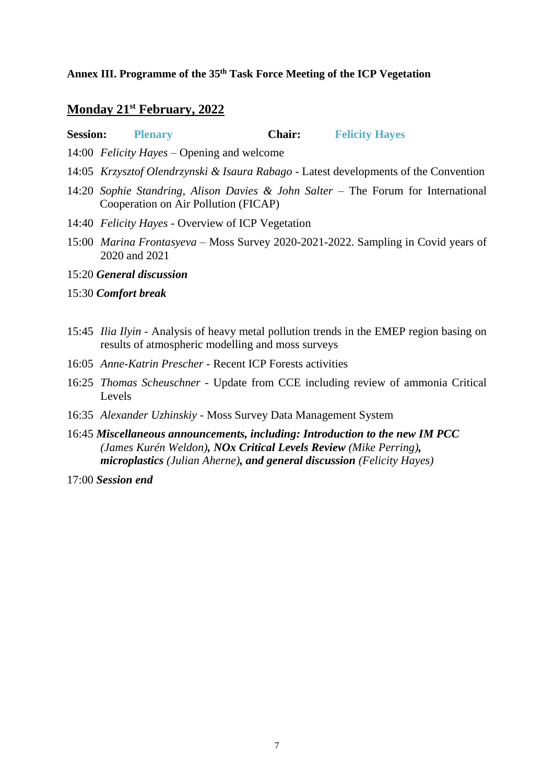#### **Annex III. Programme of the 35 th Task Force Meeting of the ICP Vegetation**

#### **Monday 21st February, 2022**

**Session: Plenary Chair: Felicity Hayes**

- 14:00 *Felicity Hayes –* Opening and welcome
- 14:05 *Krzysztof Olendrzynski & Isaura Rabago* Latest developments of the Convention
- 14:20 *Sophie Standring, Alison Davies & John Salter* The Forum for International Cooperation on Air Pollution (FICAP)
- 14:40 *Felicity Hayes* Overview of ICP Vegetation
- 15:00 *Marina Frontasyeva* Moss Survey 2020-2021-2022. Sampling in Covid years of 2020 and 2021
- 15:20 *General discussion*
- 15:30 *Comfort break*
- 15:45 *Ilia Ilyin* Analysis of heavy metal pollution trends in the EMEP region basing on results of atmospheric modelling and moss surveys
- 16:05 *Anne-Katrin Prescher* Recent ICP Forests activities
- 16:25 *Thomas Scheuschner* Update from CCE including review of ammonia Critical Levels
- 16:35 *Alexander Uzhinskiy* Moss Survey Data Management System
- 16:45 *Miscellaneous announcements, including: Introduction to the new IM PCC (James Kurén Weldon), NOx Critical Levels Review (Mike Perring), microplastics (Julian Aherne), and general discussion (Felicity Hayes)*

17:00 *Session end*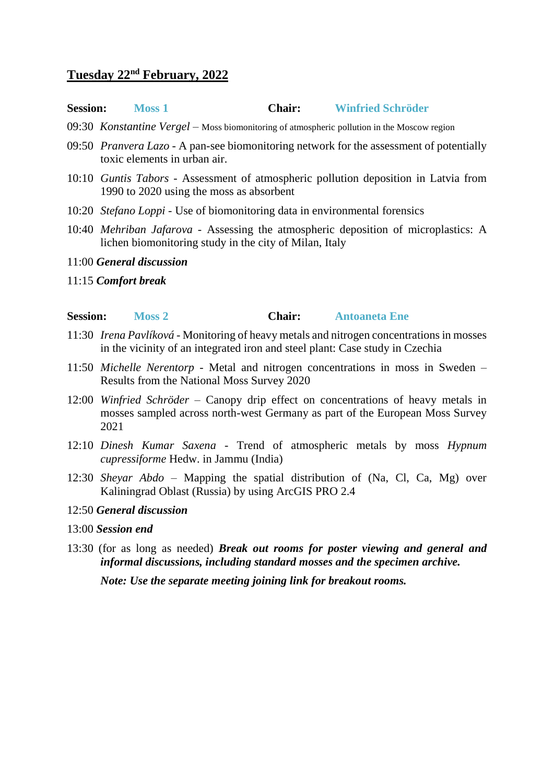## **Tuesday 22nd February, 2022**

#### **Session: Moss 1 Chair: Winfried Schröder**

- 09:30 *Konstantine Vergel* Moss biomonitoring of atmospheric pollution in the Moscow region
- 09:50 *Pranvera Lazo* A pan-see biomonitoring network for the assessment of potentially toxic elements in urban air.
- 10:10 *Guntis Tabors* Assessment of atmospheric pollution deposition in Latvia from 1990 to 2020 using the moss as absorbent
- 10:20 *Stefano Loppi* Use of biomonitoring data in environmental forensics
- 10:40 *Mehriban Jafarova* Assessing the atmospheric deposition of microplastics: A lichen biomonitoring study in the city of Milan, Italy
- 11:00 *General discussion*
- 11:15 *Comfort break*

## **Session: Moss 2 Chair: Antoaneta Ene**

- 11:30 *Irena Pavlíková* Monitoring of heavy metals and nitrogen concentrations in mosses in the vicinity of an integrated iron and steel plant: Case study in Czechia
- 11:50 *Michelle Nerentorp* Metal and nitrogen concentrations in moss in Sweden Results from the National Moss Survey 2020
- 12:00 *Winfried Schröder* Canopy drip effect on concentrations of heavy metals in mosses sampled across north-west Germany as part of the European Moss Survey 2021
- 12:10 *Dinesh Kumar Saxena* Trend of atmospheric metals by moss *Hypnum cupressiforme* Hedw. in Jammu (India)
- 12:30 *Sheyar Abdo* Mapping the spatial distribution of (Na, Cl, Ca, Mg) over Kaliningrad Oblast (Russia) by using ArcGIS PRO 2.4

## 12:50 *General discussion*

- 13:00 *Session end*
- 13:30 (for as long as needed) *Break out rooms for poster viewing and general and informal discussions, including standard mosses and the specimen archive.*

*Note: Use the separate meeting joining link for breakout rooms.*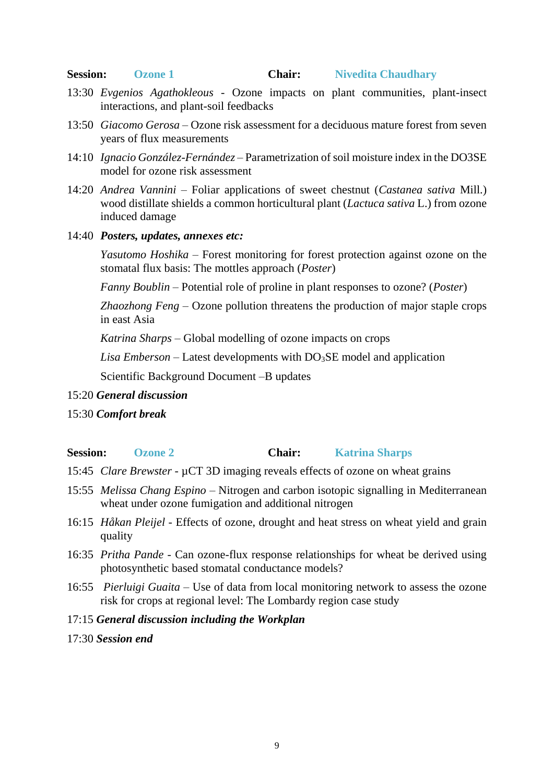## **Session: Ozone 1 Chair: Nivedita Chaudhary**

- 13:30 *Evgenios Agathokleous* Ozone impacts on plant communities, plant-insect interactions, and plant-soil feedbacks
- 13:50 *Giacomo Gerosa* Ozone risk assessment for a deciduous mature forest from seven years of flux measurements
- 14:10 *Ignacio González-Fernández* Parametrization of soil moisture index in the DO3SE model for ozone risk assessment
- 14:20 *Andrea Vannini* Foliar applications of sweet chestnut (*Castanea sativa* Mill.) wood distillate shields a common horticultural plant (*Lactuca sativa* L.) from ozone induced damage
- 14:40 *Posters, updates, annexes etc:*

*Yasutomo Hoshika* – Forest monitoring for forest protection against ozone on the stomatal flux basis: The mottles approach (*Poster*)

*Fanny Boublin* – Potential role of proline in plant responses to ozone? (*Poster*)

*Zhaozhong Feng –* Ozone pollution threatens the production of major staple crops in east Asia

*Katrina Sharps* – Global modelling of ozone impacts on crops

Lisa Emberson – Latest developments with DO<sub>3</sub>SE model and application

Scientific Background Document –B updates

- 15:20 *General discussion*
- 15:30 *Comfort break*

## **Session: Ozone 2 Chair: Katrina Sharps**

- 15:45 *Clare Brewster* µCT 3D imaging reveals effects of ozone on wheat grains
- 15:55 *Melissa Chang Espino* Nitrogen and carbon isotopic signalling in Mediterranean wheat under ozone fumigation and additional nitrogen
- 16:15 *Håkan Pleijel* Effects of ozone, drought and heat stress on wheat yield and grain quality
- 16:35 *Pritha Pande* Can ozone-flux response relationships for wheat be derived using photosynthetic based stomatal conductance models?
- 16:55 *Pierluigi Guaita* Use of data from local monitoring network to assess the ozone risk for crops at regional level: The Lombardy region case study

## 17:15 *General discussion including the Workplan*

## 17:30 *Session end*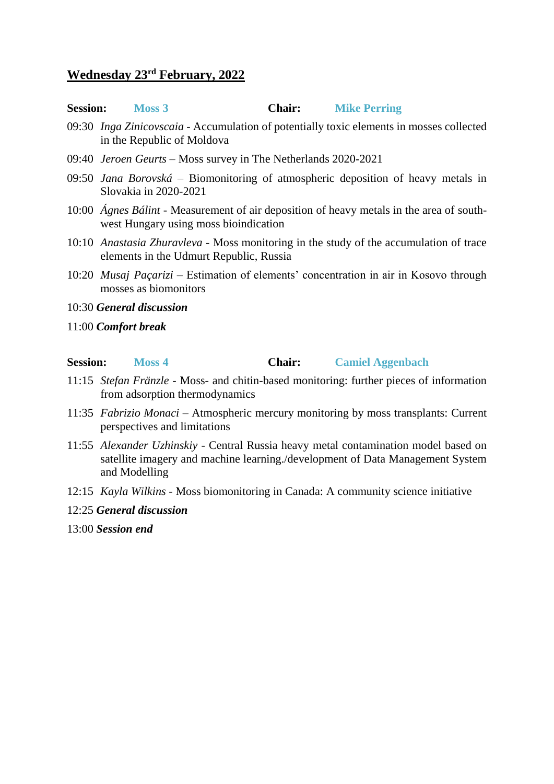# **Wednesday 23rd February, 2022**

| <b>Session:</b> | Moss 3 | <b>Chair:</b> | <b>Mike Perring</b> |
|-----------------|--------|---------------|---------------------|
|-----------------|--------|---------------|---------------------|

- 09:30 *Inga Zinicovscaia* Accumulation of potentially toxic elements in mosses collected in the Republic of Moldova
- 09:40 *Jeroen Geurts* Moss survey in The Netherlands 2020-2021
- 09:50 *Jana Borovská* Biomonitoring of atmospheric deposition of heavy metals in Slovakia in 2020-2021
- 10:00 *Ágnes Bálint* Measurement of air deposition of heavy metals in the area of southwest Hungary using moss bioindication
- 10:10 *Anastasia Zhuravleva* Moss monitoring in the study of the accumulation of trace elements in the Udmurt Republic, Russia
- 10:20 *Musaj Paçarizi* Estimation of elements' concentration in air in Kosovo through mosses as biomonitors
- 10:30 *General discussion*
- 11:00 *Comfort break*

## **Session: Moss 4 Chair: Camiel Aggenbach**

- 11:15 *Stefan Fränzle* Moss- and chitin-based monitoring: further pieces of information from adsorption thermodynamics
- 11:35 *Fabrizio Monaci* Atmospheric mercury monitoring by moss transplants: Current perspectives and limitations
- 11:55 *Alexander Uzhinskiy* Central Russia heavy metal contamination model based on satellite imagery and machine learning./development of Data Management System and Modelling
- 12:15 *Kayla Wilkins* Moss biomonitoring in Canada: A community science initiative
- 12:25 *General discussion*
- 13:00 *Session end*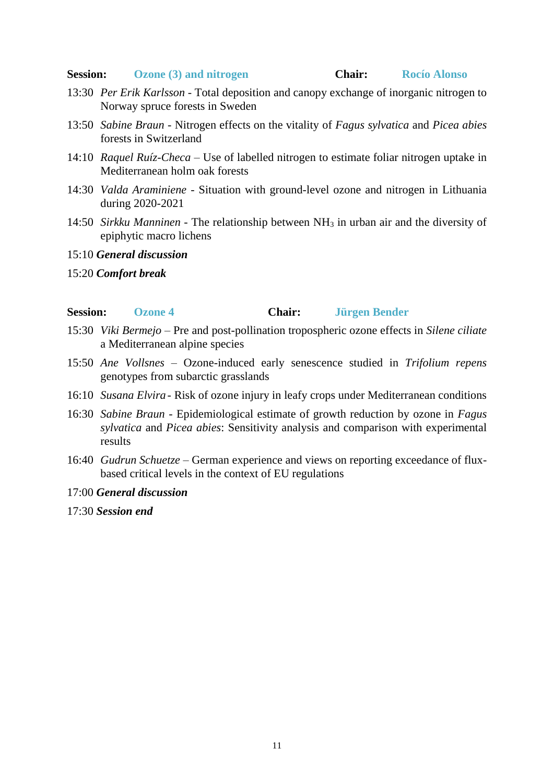#### **Session: Ozone (3) and nitrogen Chair: Rocío Alonso**

- 13:30 *Per Erik Karlsson* Total deposition and canopy exchange of inorganic nitrogen to Norway spruce forests in Sweden
- 13:50 *Sabine Braun* Nitrogen effects on the vitality of *Fagus sylvatica* and *Picea abies* forests in Switzerland
- 14:10 *Raquel Ruíz-Checa* Use of labelled nitrogen to estimate foliar nitrogen uptake in Mediterranean holm oak forests
- 14:30 *Valda Araminiene* Situation with ground-level ozone and nitrogen in Lithuania during 2020-2021
- 14:50 *Sirkku Manninen* The relationship between NH<sup>3</sup> in urban air and the diversity of epiphytic macro lichens

#### 15:10 *General discussion*

15:20 *Comfort break*

#### **Session: Ozone 4 Chair: Jürgen Bender**

- 15:30 *Viki Bermejo* Pre and post-pollination tropospheric ozone effects in *Silene ciliate* a Mediterranean alpine species
- 15:50 *Ane Vollsnes* Ozone-induced early senescence studied in *Trifolium repens* genotypes from subarctic grasslands
- 16:10 *Susana Elvira* Risk of ozone injury in leafy crops under Mediterranean conditions
- 16:30 *Sabine Braun* Epidemiological estimate of growth reduction by ozone in *Fagus sylvatica* and *Picea abies*: Sensitivity analysis and comparison with experimental results
- 16:40 *Gudrun Schuetze* German experience and views on reporting exceedance of fluxbased critical levels in the context of EU regulations

#### 17:00 *General discussion*

17:30 *Session end*